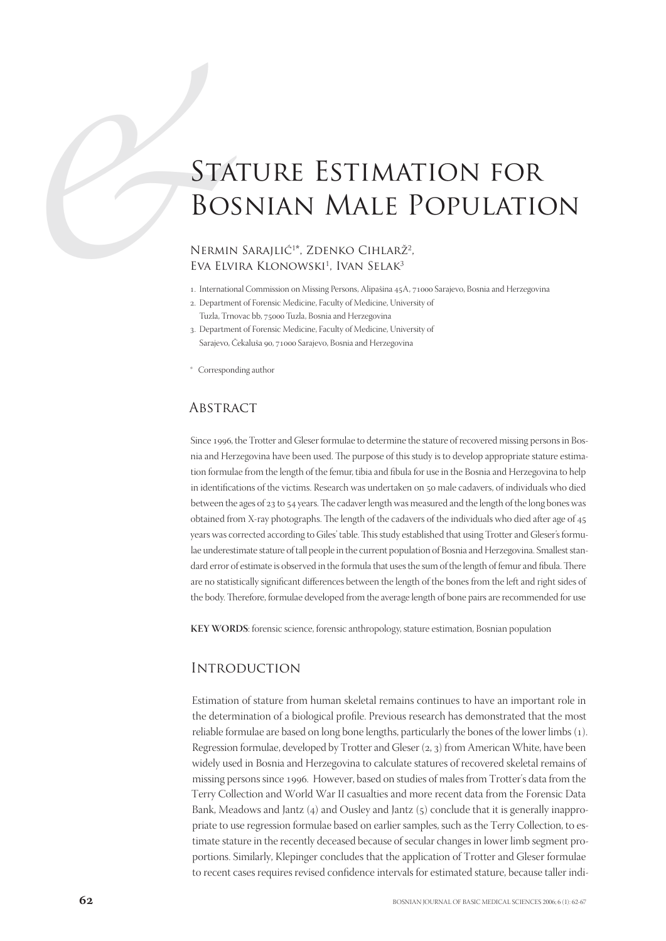# STATURE ESTIMATION FOR<br>BOSNIAN MALE POPULATIC<br>NERMIN SARAJLIĆ<sup>10</sup>, ZDENKO CIHLARŽ<sup>2</sup>,<br>EVA ELVIRA KLONOWSKI<sup>1</sup>, IVAN SELAK<sup>3</sup><br>1. International Commission on Missing Herors, Alignistra 4,3,4,71000 Stripico, Bosnia and Herzeg Bosnian Male Population

### NERMIN SARAJLIĆ<sup>1\*</sup>, ZDENKO CIHLARŽ<sup>2</sup>, Eva Elvira Klonowski<sup>1</sup>, Ivan Selak<sup>3</sup>

- 1. International Commission on Missing Persons, Alipašina 45A, 71000 Sarajevo, Bosnia and Herzegovina
- . Department of Forensic Medicine, Faculty of Medicine, University of
	- Tuzla, Trnovac bb, 75000 Tuzla, Bosnia and Herzegovina
- . Department of Forensic Medicine, Faculty of Medicine, University of Sarajevo, Čekaluša 90, 71000 Sarajevo, Bosnia and Herzegovina
- \* Corresponding author

### **ABSTRACT**

Since 1996, the Trotter and Gleser formulae to determine the stature of recovered missing persons in Bosnia and Herzegovina have been used. The purpose of this study is to develop appropriate stature estimation formulae from the length of the femur, tibia and fibula for use in the Bosnia and Herzegovina to help in identifications of the victims. Research was undertaken on 50 male cadavers, of individuals who died between the ages of 23 to 54 years. The cadaver length was measured and the length of the long bones was obtained from X-ray photographs. The length of the cadavers of the individuals who died after age of years was corrected according to Giles' table. This study established that using Trotter and Gleser's formulae underestimate stature of tall people in the current population of Bosnia and Herzegovina. Smallest standard error of estimate is observed in the formula that uses the sum of the length of femur and fibula. There are no statistically significant differences between the length of the bones from the left and right sides of the body. Therefore, formulae developed from the average length of bone pairs are recommended for use

**KEY WORDS**: forensic science, forensic anthropology, stature estimation, Bosnian population

### **INTRODUCTION**

Estimation of stature from human skeletal remains continues to have an important role in the determination of a biological profile. Previous research has demonstrated that the most reliable formulae are based on long bone lengths, particularly the bones of the lower limbs (1). Regression formulae, developed by Trotter and Gleser  $(z, 3)$  from American White, have been widely used in Bosnia and Herzegovina to calculate statures of recovered skeletal remains of missing persons since 1996. However, based on studies of males from Trotter's data from the Terry Collection and World War II casualties and more recent data from the Forensic Data Bank, Meadows and Jantz  $(4)$  and Ousley and Jantz  $(5)$  conclude that it is generally inappropriate to use regression formulae based on earlier samples, such as the Terry Collection, to estimate stature in the recently deceased because of secular changes in lower limb segment proportions. Similarly, Klepinger concludes that the application of Trotter and Gleser formulae to recent cases requires revised confidence intervals for estimated stature, because taller indi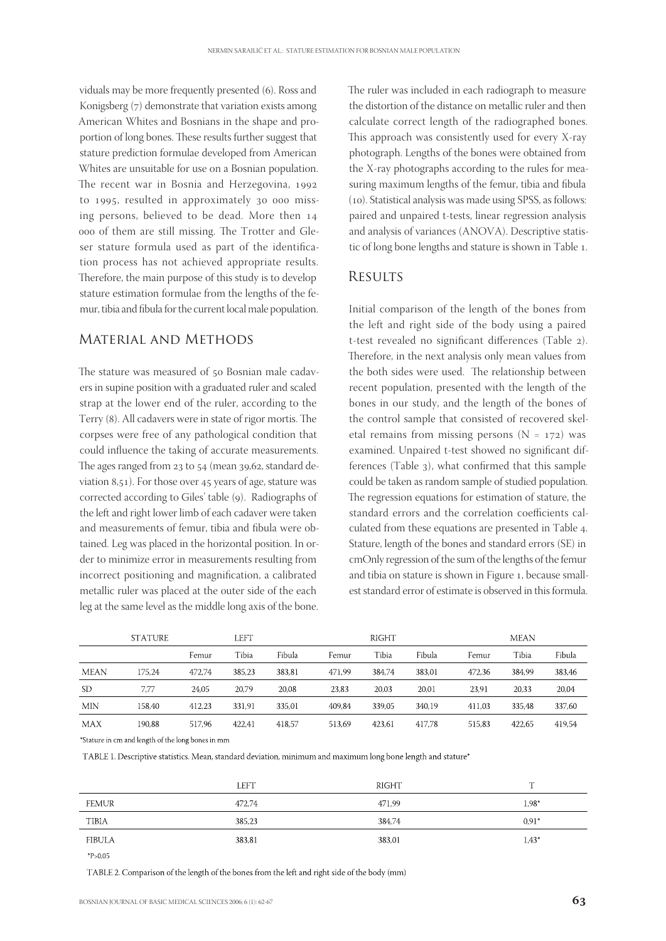viduals may be more frequently presented (6). Ross and Konigsberg (7) demonstrate that variation exists among American Whites and Bosnians in the shape and proportion of long bones. These results further suggest that stature prediction formulae developed from American Whites are unsuitable for use on a Bosnian population. The recent war in Bosnia and Herzegovina, to 1995, resulted in approximately 30 000 missing persons, believed to be dead. More then ooo of them are still missing. The Trotter and Gleser stature formula used as part of the identification process has not achieved appropriate results. Therefore, the main purpose of this study is to develop stature estimation formulae from the lengths of the femur, tibia and fibula for the current local male population.

## Material and Methods

The stature was measured of 50 Bosnian male cadavers in supine position with a graduated ruler and scaled strap at the lower end of the ruler, according to the Terry (8). All cadavers were in state of rigor mortis. The corpses were free of any pathological condition that could influence the taking of accurate measurements. The ages ranged from  $23$  to  $54$  (mean  $39,62$ , standard deviation 8,51). For those over 45 years of age, stature was corrected according to Giles' table (9). Radiographs of the left and right lower limb of each cadaver were taken and measurements of femur, tibia and fibula were obtained. Leg was placed in the horizontal position. In order to minimize error in measurements resulting from incorrect positioning and magnification, a calibrated metallic ruler was placed at the outer side of the each leg at the same level as the middle long axis of the bone. The ruler was included in each radiograph to measure the distortion of the distance on metallic ruler and then calculate correct length of the radiographed bones. This approach was consistently used for every X-ray photograph. Lengths of the bones were obtained from the X-ray photographs according to the rules for measuring maximum lengths of the femur, tibia and fibula (10). Statistical analysis was made using SPSS, as follows: paired and unpaired t-tests, linear regression analysis and analysis of variances (ANOVA). Descriptive statistic of long bone lengths and stature is shown in Table 1.

## **RESULTS**

Initial comparison of the length of the bones from the left and right side of the body using a paired t-test revealed no significant differences (Table ). Therefore, in the next analysis only mean values from the both sides were used. The relationship between recent population, presented with the length of the bones in our study, and the length of the bones of the control sample that consisted of recovered skeletal remains from missing persons  $(N = 172)$  was examined. Unpaired t-test showed no significant differences (Table 3), what confirmed that this sample could be taken as random sample of studied population. The regression equations for estimation of stature, the standard errors and the correlation coefficients calculated from these equations are presented in Table 4. Stature, length of the bones and standard errors (SE) in cmOnly regression of the sum of the lengths of the femur and tibia on stature is shown in Figure 1, because smallest standard error of estimate is observed in this formula.

|             | <b>STATURE</b> |        | left   |        |        | <b>RIGHT</b> |        |        | <b>MEAN</b> |        |
|-------------|----------------|--------|--------|--------|--------|--------------|--------|--------|-------------|--------|
|             |                | Femur  | Tibia  | Fibula | Femur  | Tibia        | Fibula | Femur  | Tibia       | Fibula |
| <b>MEAN</b> | 175.24         | 472.74 | 385.23 | 383.81 | 471.99 | 384,74       | 383.01 | 472.36 | 384.99      | 383,46 |
| SD.         | 7.77           | 24.05  | 20.79  | 20.08  | 23.83  | 20.03        | 20.01  | 23.91  | 20.33       | 20,04  |
| <b>MIN</b>  | 158.40         | 412.23 | 331.91 | 335.01 | 409.84 | 339.05       | 340.19 | 411.03 | 335.48      | 337,60 |
| MAX         | 190.88         | 517.96 | 422.41 | 418.57 | 513.69 | 423.61       | 417.78 | 515.83 | 422.65      | 419,54 |

\*Stature in cm and length of the long bones in mm

TABLE 1. Descriptive statistics. Mean, standard deviation, minimum and maximum long bone length and stature\*

|               | <b>LEFT</b> | RIGHT  | <b>COLLA</b> |
|---------------|-------------|--------|--------------|
| <b>FEMUR</b>  | 472.74      | 471.99 | $1.98*$      |
| <b>TIBIA</b>  | 385,23      | 384,74 | $0.91*$      |
| <b>FIBULA</b> | 383,81      | 383.01 | $1.43*$      |

 $P > 0.05$ 

TABLE 2. Comparison of the length of the bones from the left and right side of the body (mm)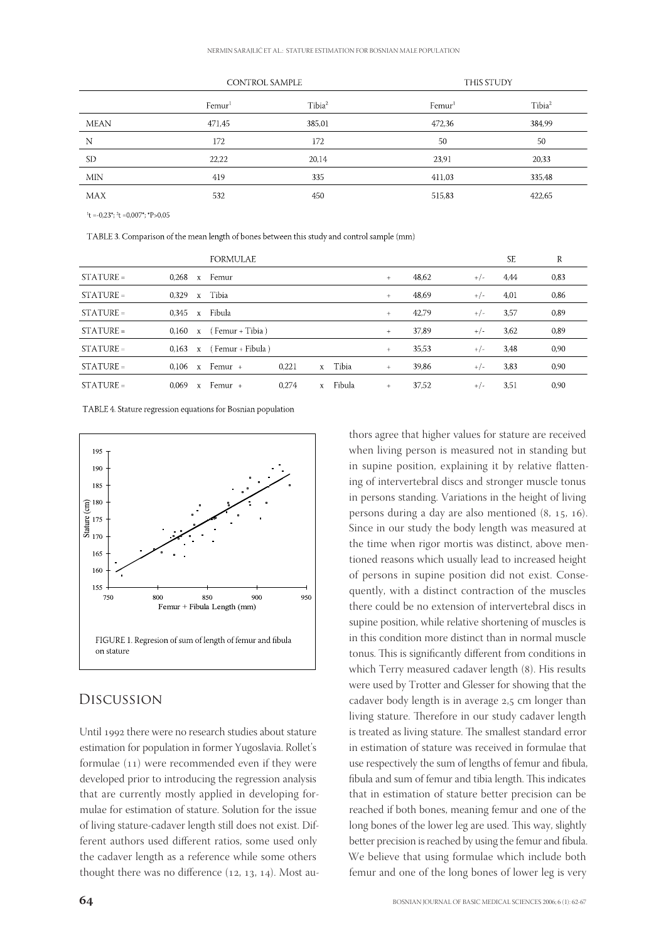|             | <b>CONTROL SAMPLE</b> |                    | <b>THIS STUDY</b>  |                    |
|-------------|-----------------------|--------------------|--------------------|--------------------|
|             | Femur <sup>1</sup>    | Tibia <sup>2</sup> | Femur <sup>1</sup> | Tibia <sup>2</sup> |
| <b>MEAN</b> | 471,45                | 385,01             | 472,36             | 384,99             |
| N           | 172                   | 172                | 50                 | 50                 |
| <b>SD</b>   | 22,22                 | 20,14              | 23,91              | 20,33              |
| <b>MIN</b>  | 419                   | 335                | 411,03             | 335,48             |
| <b>MAX</b>  | 532                   | 450                | 515,83             | 422,65             |
|             |                       |                    |                    |                    |

 $t = -0.23$ <sup>\*</sup>;  $t = 0.007$ <sup>\*</sup>;  $t$ <sup>\*</sup>P>0.05

TABLE 3. Comparison of the mean length of bones between this study and control sample (mm)

|             |                       | <b>FORMULAE</b>                 |       |              |        |        |       |       | <b>SE</b> | R    |
|-------------|-----------------------|---------------------------------|-------|--------------|--------|--------|-------|-------|-----------|------|
| $STATIVE =$ | $0.268 \times$ Femur  |                                 |       |              |        | $+$    | 48,62 | $+/-$ | 4.44      | 0.83 |
| $STATURE =$ | $0.329 \times$ Tibia  |                                 |       |              |        | $+$    | 48,69 | $+/-$ | 4,01      | 0,86 |
| $STATURE =$ | $0.345 \times$ Fibula |                                 |       |              |        | $+$    | 42,79 | $+/-$ | 3.57      | 0,89 |
| $STATIVE =$ |                       | $0.160 \times$ (Femur + Tibia)  |       |              |        | $^{+}$ | 37,89 | $+/-$ | 3,62      | 0.89 |
| $STATURE =$ |                       | $0.163 \times$ (Femur + Fibula) |       |              |        | $+$    | 35,53 | $+/-$ | 3.48      | 0,90 |
| $STATURE =$ |                       | $0.106 \times$ Femur +          | 0.221 | $\mathbf{x}$ | Tibia  | $+$    | 39,86 | $+/-$ | 3.83      | 0.90 |
| $STATURE =$ | 0.069                 | x Femur +                       | 0.274 | $\mathbf{x}$ | Fibula | $^{+}$ | 37.52 | $+/-$ | 3.51      | 0.90 |

TABLE 4. Stature regression equations for Bosnian population



## Discussion

Until 1992 there were no research studies about stature estimation for population in former Yugoslavia. Rollet's formulae  $(11)$  were recommended even if they were developed prior to introducing the regression analysis that are currently mostly applied in developing formulae for estimation of stature. Solution for the issue of living stature-cadaver length still does not exist. Different authors used different ratios, some used only the cadaver length as a reference while some others thought there was no difference  $(12, 13, 14)$ . Most au-

thors agree that higher values for stature are received when living person is measured not in standing but in supine position, explaining it by relative flattening of intervertebral discs and stronger muscle tonus in persons standing. Variations in the height of living persons during a day are also mentioned  $(8, 15, 16)$ . Since in our study the body length was measured at the time when rigor mortis was distinct, above mentioned reasons which usually lead to increased height of persons in supine position did not exist. Consequently, with a distinct contraction of the muscles there could be no extension of intervertebral discs in supine position, while relative shortening of muscles is in this condition more distinct than in normal muscle tonus. This is significantly different from conditions in which Terry measured cadaver length (8). His results were used by Trotter and Glesser for showing that the cadaver body length is in average 2,5 cm longer than living stature. Therefore in our study cadaver length is treated as living stature. The smallest standard error in estimation of stature was received in formulae that use respectively the sum of lengths of femur and fibula, fibula and sum of femur and tibia length. This indicates that in estimation of stature better precision can be reached if both bones, meaning femur and one of the long bones of the lower leg are used. This way, slightly better precision is reached by using the femur and fibula. We believe that using formulae which include both femur and one of the long bones of lower leg is very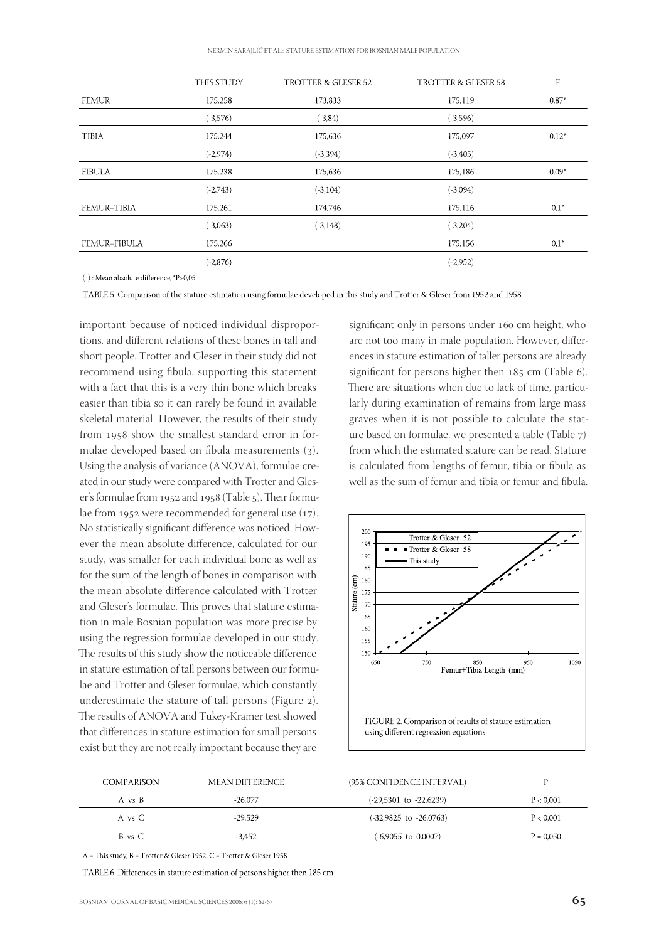|                     | <b>THIS STUDY</b> | TROTTER & GLESER 52 | TROTTER & GLESER 58 | F       |
|---------------------|-------------------|---------------------|---------------------|---------|
| <b>FEMUR</b>        | 175,258           | 173,833             | 175,119             | $0.87*$ |
|                     | $(-3,576)$        | $(-3, 84)$          | $(-3,596)$          |         |
| <b>TIBIA</b>        | 175,244           | 175,636             | 175,097             | $0.12*$ |
|                     | $(-2,974)$        | $(-3,394)$          | $(-3,405)$          |         |
| <b>FIBULA</b>       | 175,238           | 175,636             | 175,186             | $0.09*$ |
|                     | $(-2,743)$        | $(-3,104)$          | $(-3,094)$          |         |
| <b>FEMUR+TIBIA</b>  | 175,261           | 174,746             | 175,116             | $0,1^*$ |
|                     | $(-3,063)$        | $(-3, 148)$         | $(-3,204)$          |         |
| <b>FEMUR+FIBULA</b> | 175,266           |                     | 175,156             | $0,1^*$ |
|                     | $(-2,876)$        |                     | $(-2,952)$          |         |
|                     |                   |                     |                     |         |

 $(\ )$  : Mean absolute difference; \*P>0,05

TABLE 5. Comparison of the stature estimation using formulae developed in this study and Trotter & Gleser from 1952 and 1958

important because of noticed individual disproportions, and different relations of these bones in tall and short people. Trotter and Gleser in their study did not recommend using fibula, supporting this statement with a fact that this is a very thin bone which breaks easier than tibia so it can rarely be found in available skeletal material. However, the results of their study from 1958 show the smallest standard error in formulae developed based on fibula measurements  $(3)$ . Using the analysis of variance (ANOVA), formulae created in our study were compared with Trotter and Gleser's formulae from 1952 and 1958 (Table 5). Their formulae from 1952 were recommended for general use  $(17)$ . No statistically significant difference was noticed. However the mean absolute difference, calculated for our study, was smaller for each individual bone as well as for the sum of the length of bones in comparison with the mean absolute difference calculated with Trotter and Gleser's formulae. This proves that stature estimation in male Bosnian population was more precise by using the regression formulae developed in our study. The results of this study show the noticeable difference in stature estimation of tall persons between our formulae and Trotter and Gleser formulae, which constantly underestimate the stature of tall persons (Figure 2). The results of ANOVA and Tukey-Kramer test showed that differences in stature estimation for small persons exist but they are not really important because they are

significant only in persons under 160 cm height, who are not too many in male population. However, differences in stature estimation of taller persons are already significant for persons higher then  $185$  cm (Table 6). There are situations when due to lack of time, particularly during examination of remains from large mass graves when it is not possible to calculate the stature based on formulae, we presented a table  $(Table 7)$ from which the estimated stature can be read. Stature is calculated from lengths of femur, tibia or fibula as well as the sum of femur and tibia or femur and fibula.



| COMPARISON | MEAN DIFFERENCE | (95% CONFIDENCE INTERVAL)  |             |
|------------|-----------------|----------------------------|-------------|
| A vs B     | $-26.077$       | $(-29,5301$ to $-22,6239)$ | P < 0.001   |
| A vs C     | $-29.529$       | $(-32,9825$ to $-26,0763)$ | P < 0.001   |
| B vs C     | $-3.452$        | $(-6.9055$ to $0.0007)$    | $P = 0.050$ |

A = This study, B = Trotter & Gleser 1952, C = Trotter & Gleser 1958

TABLE 6. Differences in stature estimation of persons higher then 185 cm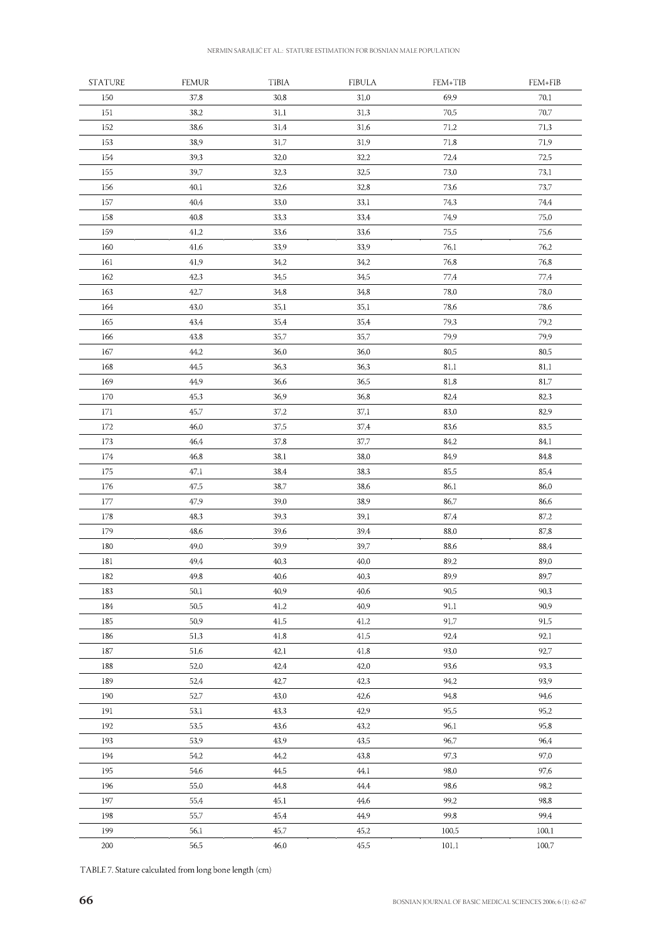| <b>STATURE</b> | <b>FEMUR</b> | <b>TIBIA</b> | <b>FIBULA</b> | FEM+TIB      | FEM+FIB |
|----------------|--------------|--------------|---------------|--------------|---------|
| 150            | 37,8         | 30,8         | 31,0          | 69,9         | 70,1    |
| 151            | 38,2         | 31,1         | 31,3          | 70,5         | 70,7    |
| 152            | 38,6         | 31,4         | 31,6          | 71,2         | 71,3    |
| 153            | 38,9         | 31,7         | 31,9          | 71,8         | 71,9    |
| 154            | 39,3         | 32,0         | 32,2          | 72,4         | 72,5    |
| 155            | 39,7         | 32,3         | 32,5          | 73,0         | 73,1    |
| 156            | 40,1         | 32,6         | 32,8          | 73,6         | 73,7    |
| 157            | 40,4         | 33,0         | 33,1          | 74,3         | 74,4    |
| 158            | 40,8         | 33,3         | 33,4          | 74,9         | 75,0    |
| 159            | 41,2         | 33,6         | 33,6          | 75,5         | 75,6    |
| 160            | 41,6         | 33,9         | 33,9          | 76,1         | 76,2    |
| 161            | 41,9         | 34,2         | 34,2          | 76,8         | 76,8    |
| 162            | 42,3         | 34,5         | 34,5          | 77,4         | 77,4    |
| 163            | 42,7         | 34,8         | 34,8          | 78,0         | 78,0    |
| 164            | 43,0         | 35,1         | 35,1          | 78,6         | 78,6    |
| 165            | 43,4         | 35,4         | 35,4          | 79,3         | 79,2    |
| 166            | 43,8         | 35,7         | 35,7          | 79,9         | 79,9    |
| 167            | 44,2         | 36,0         | 36,0          | 80,5         | 80,5    |
| 168            | 44,5         | 36,3         | 36,3          | 81,1         | 81,1    |
| 169            | 44,9         | 36,6         | 36,5          | 81,8         | 81,7    |
| 170            | 45,3         | 36,9         | 36,8          | 82,4         | 82,3    |
| 171            | 45,7         | 37,2         | 37,1          | 83,0         | 82,9    |
| 172            | 46,0         | 37,5         | 37,4          | 83,6         | 83,5    |
| 173            | 46,4         | 37,8         | 37,7          | 84,2         | 84,1    |
| 174            | 46,8         | 38,1         | 38,0          | 84,9         | 84,8    |
| 175            | 47,1         | 38,4         | 38,3          | 85,5         | 85,4    |
| 176            | 47,5         | 38,7         | 38,6          | 86,1         | 86,0    |
| 177            | 47,9         | 39,0         | 38,9          | 86,7         | 86,6    |
| 178            | 48,3         | 39,3         | 39,1          | 87,4         | 87,2    |
| 179            | 48,6         | 39,6         | 39,4          | 88,0         | 87,8    |
| 180            | 49,0         | 39,9         | 39,7          | 88,6         | 88,4    |
| 181            | 49,4         | 40,3         | 40,0          | 89,2         | 89,0    |
|                | 49,8         | 40,6         | 40,3          | 89,9         | 89,7    |
| 182            | 50,1         | 40,9         |               | 90,5         | 90,3    |
| 183<br>184     | 50,5         | 41,2         | 40,6<br>40,9  | 91,1         | 90,9    |
|                | 50,9         |              |               |              | 91,5    |
| 185<br>186     | 51,3         | 41,5<br>41,8 | 41,2<br>41,5  | 91,7<br>92,4 | 92,1    |
|                |              |              |               |              |         |
| 187            | 51,6         | 42,1         | 41,8          | 93,0         | 92,7    |
| 188            | 52,0         | 42,4         | 42,0          | 93,6         | 93,3    |
| 189            | 52,4         | 42,7         | 42,3          | 94,2         | 93,9    |
| 190            | 52,7         | 43,0         | 42,6          | 94,8         | 94,6    |
| 191            | 53,1         | 43,3         | 42,9          | 95,5         | 95,2    |
| 192            | 53,5         | 43,6         | 43,2          | 96,1         | 95,8    |
| 193            | 53,9         | 43,9         | 43,5          | 96,7         | 96,4    |
| 194            | 54,2         | 44,2         | 43,8          | 97,3         | 97,0    |
| 195            | 54,6         | 44,5         | 44,1          | 98,0         | 97,6    |
| 196            | 55,0         | 44,8         | 44,4          | 98,6         | 98,2    |
| 197            | 55,4         | 45,1         | 44,6          | 99,2         | 98,8    |
| 198            | 55,7         | 45,4         | 44,9          | 99,8         | 99,4    |
| 199            | 56,1         | 45,7         | 45,2          | 100,5        | 100,1   |
| 200            | 56,5         | 46,0         | 45,5          | 101,1        | 100,7   |

TABLE 7. Stature calculated from long bone length (cm)